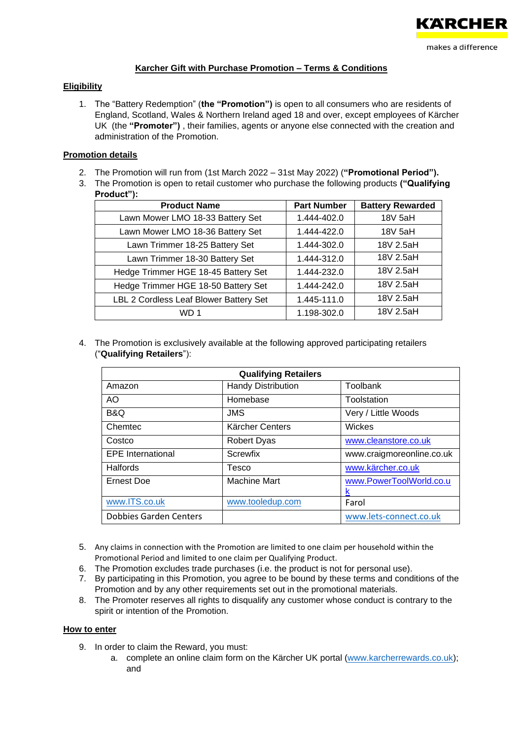

# **Karcher Gift with Purchase Promotion – Terms & Conditions**

### **Eligibility**

1. The "Battery Redemption" (**the "Promotion")** is open to all consumers who are residents of England, Scotland, Wales & Northern Ireland aged 18 and over, except employees of Kärcher UK (the **"Promoter")** , their families, agents or anyone else connected with the creation and administration of the Promotion.

### **Promotion details**

- 2. The Promotion will run from (1st March 2022 31st May 2022) (**"Promotional Period").**
- 3. The Promotion is open to retail customer who purchase the following products **("Qualifying Product"):**

| <b>Product Name</b>                    | <b>Part Number</b> | <b>Battery Rewarded</b> |
|----------------------------------------|--------------------|-------------------------|
| Lawn Mower LMO 18-33 Battery Set       | 1.444-402.0        | 18V 5aH                 |
| Lawn Mower LMO 18-36 Battery Set       | 1.444-422.0        | 18V 5aH                 |
| Lawn Trimmer 18-25 Battery Set         | 1.444-302.0        | 18V 2.5aH               |
| Lawn Trimmer 18-30 Battery Set         | 1.444-312.0        | 18V 2.5aH               |
| Hedge Trimmer HGE 18-45 Battery Set    | 1.444-232.0        | 18V 2.5aH               |
| Hedge Trimmer HGE 18-50 Battery Set    | 1.444-242.0        | 18V 2.5aH               |
| LBL 2 Cordless Leaf Blower Battery Set | 1.445-111.0        | 18V 2.5aH               |
|                                        | 1.198-302.0        | 18V 2.5aH               |

4. The Promotion is exclusively available at the following approved participating retailers ("**Qualifying Retailers**"):

| <b>Qualifying Retailers</b>   |                           |                           |  |
|-------------------------------|---------------------------|---------------------------|--|
| Amazon                        | <b>Handy Distribution</b> | Toolbank                  |  |
| AO                            | Homebase                  | Toolstation               |  |
| B&Q                           | <b>JMS</b>                | Very / Little Woods       |  |
| Chemtec                       | Kärcher Centers           | Wickes                    |  |
| Costco                        | <b>Robert Dyas</b>        | www.cleanstore.co.uk      |  |
| <b>EPE</b> International      | Screwfix                  | www.craigmoreonline.co.uk |  |
| Halfords                      | Tesco                     | www.kärcher.co.uk         |  |
| <b>Ernest Doe</b>             | <b>Machine Mart</b>       | www.PowerToolWorld.co.u   |  |
|                               |                           | κ                         |  |
| www.ITS.co.uk                 | www.tooledup.com          | Farol                     |  |
| <b>Dobbies Garden Centers</b> |                           | www.lets-connect.co.uk    |  |

- 5. Any claims in connection with the Promotion are limited to one claim per household within the Promotional Period and limited to one claim per Qualifying Product.
- 6. The Promotion excludes trade purchases (i.e. the product is not for personal use).
- 7. By participating in this Promotion, you agree to be bound by these terms and conditions of the Promotion and by any other requirements set out in the promotional materials.
- 8. The Promoter reserves all rights to disqualify any customer whose conduct is contrary to the spirit or intention of the Promotion.

#### **How to enter**

- 9. In order to claim the Reward, you must:
	- a. complete an online claim form on the Kärcher UK portal [\(www.karcherrewards.co.uk\)](http://www.karcherrewards.co.uk/); and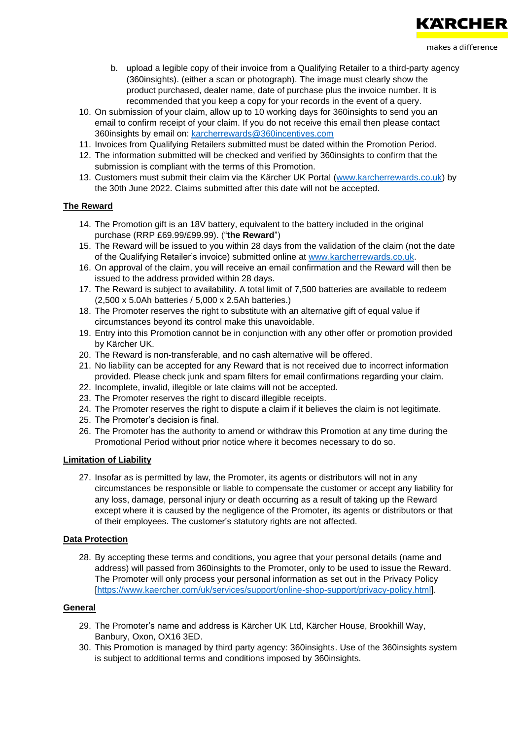

- b. upload a legible copy of their invoice from a Qualifying Retailer to a third-party agency (360insights). (either a scan or photograph). The image must clearly show the product purchased, dealer name, date of purchase plus the invoice number. It is recommended that you keep a copy for your records in the event of a query.
- 10. On submission of your claim, allow up to 10 working days for 360insights to send you an email to confirm receipt of your claim. If you do not receive this email then please contact 360insights by email on: [karcherrewards@360incentives.com](mailto:karcherrewards@360incentives.com)
- 11. Invoices from Qualifying Retailers submitted must be dated within the Promotion Period.
- 12. The information submitted will be checked and verified by 360insights to confirm that the submission is compliant with the terms of this Promotion.
- 13. Customers must submit their claim via the Kärcher UK Portal [\(www.karcherrewards.co.uk\)](http://www.karcherrewards.co.uk/) by the 30th June 2022. Claims submitted after this date will not be accepted.

#### **The Reward**

- 14. The Promotion gift is an 18V battery, equivalent to the battery included in the original purchase (RRP £69.99/£99.99). ("**the Reward**")
- 15. The Reward will be issued to you within 28 days from the validation of the claim (not the date of the Qualifying Retailer's invoice) submitted online at [www.karcherrewards.co.uk.](http://www.karcherrewards.co.uk/)
- 16. On approval of the claim, you will receive an email confirmation and the Reward will then be issued to the address provided within 28 days.
- 17. The Reward is subject to availability. A total limit of 7,500 batteries are available to redeem (2,500 x 5.0Ah batteries / 5,000 x 2.5Ah batteries.)
- 18. The Promoter reserves the right to substitute with an alternative gift of equal value if circumstances beyond its control make this unavoidable.
- 19. Entry into this Promotion cannot be in conjunction with any other offer or promotion provided by Kärcher UK.
- 20. The Reward is non-transferable, and no cash alternative will be offered.
- 21. No liability can be accepted for any Reward that is not received due to incorrect information provided. Please check junk and spam filters for email confirmations regarding your claim.
- 22. Incomplete, invalid, illegible or late claims will not be accepted.
- 23. The Promoter reserves the right to discard illegible receipts.
- 24. The Promoter reserves the right to dispute a claim if it believes the claim is not legitimate.
- 25. The Promoter's decision is final.
- 26. The Promoter has the authority to amend or withdraw this Promotion at any time during the Promotional Period without prior notice where it becomes necessary to do so.

#### **Limitation of Liability**

27. Insofar as is permitted by law, the Promoter, its agents or distributors will not in any circumstances be responsible or liable to compensate the customer or accept any liability for any loss, damage, personal injury or death occurring as a result of taking up the Reward except where it is caused by the negligence of the Promoter, its agents or distributors or that of their employees. The customer's statutory rights are not affected.

#### **Data Protection**

28. By accepting these terms and conditions, you agree that your personal details (name and address) will passed from 360insights to the Promoter, only to be used to issue the Reward. The Promoter will only process your personal information as set out in the Privacy Policy [\[https://www.kaercher.com/uk/services/support/online-shop-support/privacy-policy.html\]](https://www.kaercher.com/uk/services/support/online-shop-support/privacy-policy.html).

# **General**

- 29. The Promoter's name and address is Kärcher UK Ltd, Kärcher House, Brookhill Way, Banbury, Oxon, OX16 3ED.
- 30. This Promotion is managed by third party agency: 360insights. Use of the 360insights system is subject to additional terms and conditions imposed by 360insights.